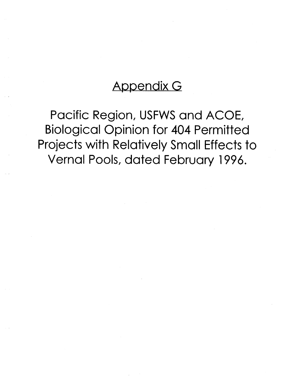# **Appendix G**

**Pacific Region, USFWS and ACOE, Biological Opinion for 404 Permitted Projects with Relatively Small Effects to Vernal Pools, dated February 1996.**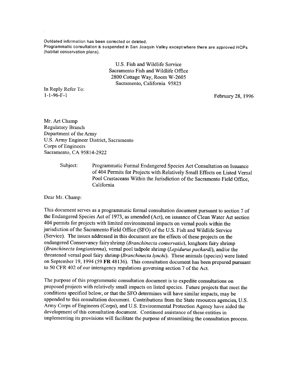**Outdated information has been corrected or deleted.** Programmatic consultation is suspended in San Joaquin Valley except where there are approved HCPs **(h ab itat conservation plans).**

> U.S. Fish and Wildlife Service Sacramento Fish and Wildlife Office 2800 Cottage Way, Room W-2605 Sacramento, California 95825

In Reply Refer To: 1-1-96-F- l February 28, 1996

Mr. Art Champ Regulatory Branch Department of the Army U.S. Army Engineer District, Sacramento Corps of Engineers Sacramento, CA 95814-2922

> Subject: Programmatic Formal Endangered Species Act Consultation on Issuance of 404 Permits for Projects with Relatively Small Effects on Listed Vernal Pool Crustaceans Within the Jurisdiction of the Sacramento Field Office, California

Dear Mr. Champ:

This document serves as a programmatic formal consultation document pursuant to section 7 of the Endangered Species Act of 1973, as amended (Act), on issuance of Clean Water Act section 404 permits for projects with limited environmental impacts on vernal pools within the jurisdiction of the Sacramento Field Office (SFO) of the U.S. Fish and Wildlife Service (Service). The issues addressed in this document are the effects of these projects on the endangered Conservancy fairy shrimp (*Branchinecta conservatio),* longhorn fairy shrimp *(Branchinecta longiantenna*), vernal pool tadpole shrimp *(Lepidurus packardi),* and/or the threatened vernal pool fairy shrimp (*Branchinecta lynchi).* These animals (species) were listed on September 19, 1994 (59 FR 48136). This consultation document has been prepared pursuant to 50 CFR 402 of our interagency regulations governing section 7 of the Act.

The purpose of this programmatic consultation document is to expedite consultations on proposed projects with relatively small impacts on listed species. Future projects that meet the conditions specified below, or that the SFO determines will have similar impacts, may be appended to this consultation document. Contributions from the State resources agencies, U.S. Army Corps of Engineers (Corps), and U.S. Environmental Protection Agency have aided the development of this consultation document. Continued assistance of these entities in implementing its provisions will facilitate the purpose of streamlining the consultation process.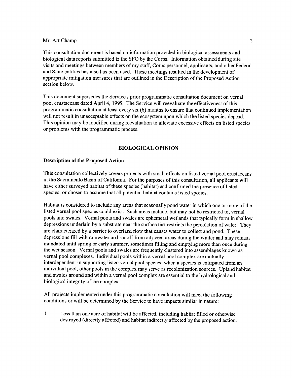This consultation document is based on information provided in biological assessments and biological data reports submitted to the SFO by the Corps. Information obtained during site visits and meetings between members of my staff, Corps personnel, applicants, and other Federal and State entities has also has been used. These meetings resulted in the development of appropriate mitigation measures that are outlined in the Description of the Proposed Action section below.

This document supersedes the Service's prior programmatic consultation document on vernal pool crustaceans dated April 4, 1995. The Service will reevaluate the effectiveness of this programmatic consultation at least every six (6) months to ensure that continued implementation will not result in unacceptable effects on the ecosystem upon which the listed species depend. This opinion may be modified during reevaluation to alleviate excessive effects on listed species or problems with the programmatic process.

# **BIOLOGICAL OPINION**

# **Description of the Proposed Action**

This consultation collectively covers projects with small effects on listed vernal pool crustaceans in the Sacramento Basin of Califomia. For the purposes of this consultation, all applicants will have either surveyed habitat of these species (habitat) and confirmed the presence of listed species, or chosen to assume that all potential habitat contains listed species.

Habitat is considered to include any areas that seasonally pond water in which one or more of the listed vernal pool species could exist. Such areas include, but may not be restricted to, vernal pools and swales. Vernal pools and swales are ephemeral wetlands that typically form in shallow depressions underlain by a substrate near the surface that restricts the percolation of water. They are characterized by a barrier to overland flow that causes water to collect and pond. These depressions fill with rainwater and runoff from adjacent areas during the winter and may remain inundated until spring or early summer, sometimes filling and emptying more than once during the wet season. Vernal pools and swales are frequently clustered into assemblages known as vernal pool complexes. Individual pools within a vernal pool complex are mutually interdependent in supporting listed vernal pool species; when a species is extirpated from an individual pool, other pools in the complex may serve as recolonization sources. Upland habitat and swales around and within a vernal pool complex are essential to the hydrological and biological integrity of the complex.

All projects implemented under this programmatic consultation will meet the following conditions or will be determined by the Service to have impacts similar in nature:

**1.** Less than one acre of habitat will be affected, including habitat filled or otherwise destroyed (directly affected) and habitat indirectly affected by the proposed action.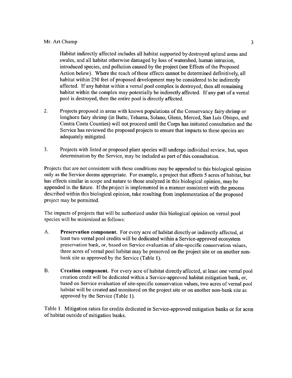Habitat indirectly affected includes all habitat supported by destroyed upland areas and swales, and all habitat otherwise damaged by loss of watershed, human intrusion, introduced species, and pollution caused by the project (see Effects of the Proposed Action below). Where the reach of these effects cannot be determined definitively, all habitat within 250 feet of proposed development may be considered to be indirectly affected. If any habitat within a vernal pool complex is destroyed, then all remaining habitat within the complex may potentially be indirectly affected. If any part of a vernal pool is destroyed, then the entire pool is directly affected.

- **2**. Projects proposed in areas with known populations of the Conservancy fairy shrimp or longhorn fairy shrimp (in Butte, Tehama, Solano, Glenn, Merced, San Luis Obispo, and Contra Costa Counties) will not proceed until the Corps has initiated consultation and the Service has reviewed the proposed projects to ensure that impacts to these species are adequately mitigated.
- 3. Projects with listed or proposed plant species will undergo individual review, but, upon determination by the Service, may be included as part of this consultation.

Projects that are not consistent with these conditions may be appended to this biological opinion only as the Service deems appropriate. For example, a project that affects 5 acres of habitat, but has effects similar in scope and nature to those analyzed in this biological opinion, may be appended in the future. If the project is implemented in a manner consistent with the process described within this biological opinion, take resulting from implementation of the proposed project may be permitted.

The impacts of projects that will be authorized under this biological opinion on vernal pool species will be minimized as follows:

- A. **Preservation component.** For every acre of habitat directly or indirectly affected, at least two vernal pool credits will be dedicated within a Service-approved ecosystem preservation bank, or, based on Service evaluation of site-specific conservation values, three acres of vernal pool habitat may be preserved on the project site or on another nonbank site as approved by the Service (Table 1).
- B. **Creation component.** For every acre of habitat directly affected, at least one vernal pool creation credit will be dedicated within a Service-approved habitat mitigation bank, or, based on Service evaluation of site-specific conservation values, two acres of vernal pool habitat will be created and monitored on the project site or on another non-bank site as approved by the Service (Table 1).

Table 1. Mitigation ratios for credits dedicated in Service-approved mitigation banks or for acres of habitat outside of mitigation banks.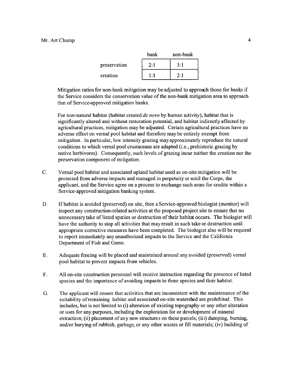|              | bank | non-bank |
|--------------|------|----------|
| preservation | 2:1  | 3:1      |
| creation     | 1:1  | 2:1      |

Mitigation ratios for non-bank mitigation may be adjusted to approach those for banks if the Service considers the conservation value of the non-bank mitigation area to approach that of Service-approved mitigation banks.

For non-natural habitat (habitat created *de novo* by human activity), habitat that is significantly altered and without restoration potential, and habitat indirectly affected by agricultural practices, mitigation may be adjusted. Certain agricultural practices have no adverse effect on vernal pool habitat and therefore may be entirely exempt from mitigation. In particular, low intensity grazing may approximately reproduce the natural conditions to which vernal pool crustaceans are adapted (i.e., prehistoric grazing by native herbivores). Consequently, such levels of grazing incur neither the creation nor the preservation component of mitigation.

- C. Vernal pool habitat and associated upland habitat used as on-site mitigation will be protected from adverse impacts and managed in perpetuity or until the Corps, the applicant, and the Service agree on a process to exchange such areas for credits within a Service-approved mitigation banking system.
- D. If habitat is avoided (preserved) on site, then a Service-approved biologist (monitor) will inspect any construction-related activities at the proposed project site to ensure that no unnecessary take of listed species or destruction of their habitat occurs. The biologist will have the authority to stop all activities that may result in such take or destruction until appropriate corrective measures have been completed. The biologist also will be required to report immediately any unauthorized impacts to the Service and the California Department of Fish and Game.
- E. Adequate fencing will be placed and maintained around any avoided (preserved) vernal pool habitat to prevent impacts from vehicles.
- F. All on-site construction personnel will receive instruction regarding the presence of listed species and the importance of avoiding impacts to these species and their habitat.
- G. The applicant will ensure that activities that are inconsistent with the maintenance of the suitability of remaining habitat and associated on-site watershed are prohibited. This includes, but is not limited to (i) alteration of existing topography or any other alteration or uses for any purposes, including the exploration for or development of mineral extraction; (ii) placement of any new structures on these parcels; (iii) dumping, burning, and/or burying of rubbish, garbage, or any other wastes or fill materials; (iv) building of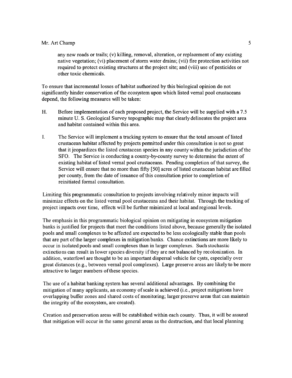any new roads or trails; (v) killing, removal, alteration, or replacement of any existing native vegetation; (vi) placement of storm water drains; (vii) fire protection activities not required to protect existing structures at the project site; and (viii) use of pesticides or other toxic chemicals.

To ensure that incremental losses of habitat authorized by this biological opinion do not significantly hinder conservation of the ecosystem upon which listed vernal pool crustaceans depend, the following measures will be taken:

- H. Before implementation of each proposed project, the Service will be supplied with a 7.5 minute U. S. Geological Survey topographic map that clearly delineates the project area and habitat contained within this area.
- I. The Service will implement a tracking system to ensure that the total amount of listed crustacean habitat affected by projects permitted under this consultation is not so great that it jeopardizes the listed crustacean species in any county within the jurisdiction of the SFO. The Service is conducting a county-by-county survey to determine the extent of existing habitat of listed vernal pool crustaceans. Pending completion of that survey, the Service will ensure that no more than fifty [50] acres of listed crustacean habitat are filled per county, from the date of issuance of this consultation prior to completion of reinitiated formal consultation.

Limiting this programmatic consultation to projects involving relatively minor impacts will minimize effects on the listed vernal pool crustaceans and their habitat. Through the tracking of project impacts over time, effects will be further minimized at local and regional levels.

The emphasis in this programmatic biological opinion on mitigating in ecosystem mitigation banks is justified for projects that meet the conditions listed above, because generally the isolated pools and small complexes to be affected are expected to be less ecologically stable than pools that are part of the larger complexes in mitigation banks. Chance extinctions are more likely to occur in isolated pools and small complexes than in larger complexes. Such stochastic extinctions can result in lower species diversity if they are not balanced by recolonization. In addition, waterfowl are thought to be an important dispersal vehicle for cysts, especially over great distances (e.g., between vernal pool complexes). Large preserve areas are likely to be more attractive to larger numbers of these species.

The use of a habitat banking system has several additional advantages. By combining the mitigation of many applicants, an economy of scale is achieved (i.e., project mitigations have overlapping buffer zones and shared costs of monitoring; larger preserve areas that can maintain the integrity of the ecosystem, are created).

Creation and preservation areas will be established within each county. Thus, it will be assured that mitigation will occur in the same general areas as the destruction, and that local planning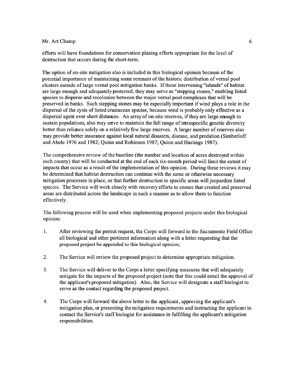efforts will have foundations for conservation planing efforts appropriate for the level of destruction that occurs during the short-term.

The option of on-site mitigation also is included in this biological opinion because of the potential importance of maintaining some remnant of the historic distribution of vernal pool clusters outside of large vernal pool mitigation banks. If these intervening "islands" of habitat are large enough and adequately protected, they may serve as "stepping stones," enabling listed species to disperse and recolonize between the major vernal pool complexes that will be preserved in banks. Such stepping stones may be especially important if wind plays a role in the dispersal of the cysts of listed crustacean species, because wind is probably only effective as a dispersal agent over short distances. An array of on-site reserves, if they are large enough to sustain populations, also may serve to maintain the full range of intraspecific genetic diversity better than reliance solely on a relatively few large reserves. A larger number of reserves also may provide better insurance against local natural disasters, disease, and predation (Simberloff and Abele 1976 and 1982; Quinn and Robinson 1987; Quinn and Hastings 1987).

The comprehensive review of the baseline (the number and location of acres destroyed within each county) that will be conducted at the end of each six-month period will limit the extent of impacts that occur as a result of the implementation of this opinion. During these reviews it may be determined that habitat destruction can continue with the same or otherwise necessary mitigation processes in place, or that further destruction in specific areas will jeopardize listed species. The Service will work closely with recovery efforts to ensure that created and preserved areas are distributed across the landscape in such a manner as to allow them to function effectively.

The following process will be used when implementing proposed projects under this biological opinion:

- 1. After reviewing the permit request, the Corps will forward to the Sacramento Field Office all biological and other pertinent information along with a letter requesting that the proposed project be appended to this biological opinion;
- **2.** The Service will review the proposed project to determine appropriate mitigation.
- 3. The Service will deliver to the Corps a letter specifying measures that will adequately mitigate for the impacts of the proposed project (note that this could entail the approval of the applicant's proposed mitigation). Also, the Service will designate a staff biologist to serve as the contact regarding the proposed project.
- **4.** The Corps will forward the above letter to the applicant, approving the applicant's mitigation plan, or presenting the mitigation requirements and instructing the applicant to contact the Service's staff biologist for assistance in fulfilling the applicant's mitigation responsibilities.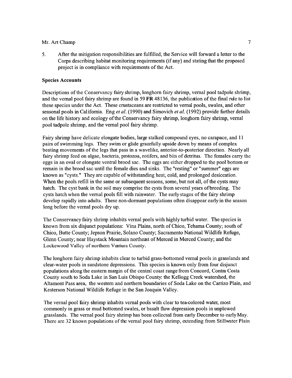**5.** After the mitigation responsibilities are fulfilled, the Service will forward a letter to the Corps describing habitat monitoring requirements (if any) and stating that the proposed project is in compliance with requirements of the Act.

## **Species Accounts**

Descriptions of the Conservancy fairy shrimp, longhorn fairy shrimp, vernal pool tadpole shrimp, and the vernal pool fairy shrimp are found in 59 FR 48136, the publication of the final rule to list these species under the Act. These crustaceans are restricted to vernal pools, swales, and other seasonal pools in California. Eng *et al.* (1990) and Simovich *et al.* (1992) provide further details on the life history and ecology of the Conservancy fairy shrimp, longhorn fairy shrimp, vernal pool tadpole shrimp, and the vernal pool fairy shrimp.

Fairy shrimp have delicate elongate bodies, large stalked compound eyes, no carapace, and 11 pairs of swimming legs. They swim or glide gracefully upside down by means of complex beating movements of the legs that pass in a wavelike, anterior-to-posterior direction. Nearly all fairy shrimp feed on algae, bacteria, protozoa, rotifers, and bits of detritus. The females carry the eggs in an oval or elongate ventral brood sac. The eggs are either dropped to the pool bottom or remain in the brood sac until the female dies and sinks. The "resting" or "summer" eggs are known as "cysts." They are capable of withstanding heat, cold, and prolonged desiccation. When the pools refill in the same or subsequent seasons, some, but not all, of the cysts may hatch. The cyst bank in the soil may comprise the cysts from several years of breeding. The cysts hatch when the vernal pools fill with rainwater. The early stages of the fairy shrimp develop rapidly into adults. These non-dormant populations often disappear early in the season long before the vernal pools dry up.

The Conservancy fairy shrimp inhabits vernal pools with highly turbid water. The species is known from six disjunct populations: Vina Plains, north of Chico, Tehama County; south of Chico, Butte County; Jepson Prairie, Solano County; Sacramento National Wildlife Refuge, Glenn County; near Haystack Mountain northeast of Merced in Merced County; and the Lockewood Valley of northern Ventura County.

The longhorn fairy shrimp inhabits clear to turbid grass-bottomed vernal pools in grasslands and clear-water pools in sandstone depressions. This species is known only from four disjunct populations along the eastern margin of the central coast range from Concord, Contra Costa County south to Soda Lake in San Luis Obispo County: the Kellogg Creek watershed, the Altamont Pass area, the western and northern boundaries of Soda Lake on the Carrizo Plain, and Kesterson National Wildlife Refuge in the San Joaquin Valley.

The vernal pool fairy shrimp inhabits vernal pools with clear to tea-colored water, most commonly in grass or mud bottomed swales, or basalt flow depression pools in unplowed grasslands. The vernal pool fairy shrimp has been collected from early December to early May. There are 32 known populations of the vernal pool fairy shrimp, extending from Stillwater Plain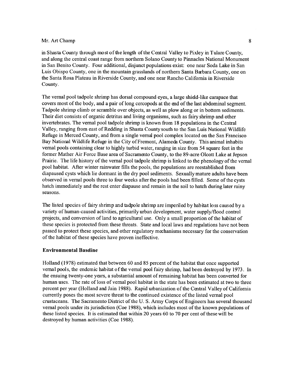in Shasta County through most of the length of the Central Valley to Pixley in Tulare County, and along the central coast range from northern Solano County to Pinnacles National Monument in San Benito County. Four additional, disjunct populations exist: one near Soda Lake in San Luis Obispo County, one in the mountain grasslands of northern Santa Barbara County, one on the Santa Rosa Plateau in Riverside County, and one near Rancho California in Riverside County.

The vernal pool tadpole shrimp has dorsal compound eyes, a large shield-like carapace that covers most of the body, and a pair of long cercopods at the end of the last abdominal segment. Tadpole shrimp climb or scramble over objects, as well as plow along or in bottom sediments. Their diet consists of organic detritus and living organisms, such as fairy shrimp and other invertebrates. The vernal pool tadpole shrimp is known from 18 populations in the Central Valley, ranging from east of Redding in Shasta County south to the San Luis National Wildlife Refuge in Merced County, and from a single vernal pool complex located on the San Francisco Bay National Wildlife Refuge in the City of Fremont, Alameda County. This animal inhabits vernal pools containing clear to highly turbid water, ranging in size from 54 square feet in the former Mather Air Force Base area of Sacramento County, to the 89-acre Olcott Lake at Jepson Prairie. The life history of the vernal pool tadpole shrimp is linked to the phenology of the vernal pool habitat. After winter rainwater fills the pools, the populations are reestablished from diapaused cysts which lie dormant in the dry pool sediments. Sexually mature adults have been observed in vernal pools three to four weeks after the pools had been filled. Some of the cysts hatch immediately and the rest enter diapause and remain in the soil to hatch during later rainy seasons.

The listed species of fairy shrimp and tadpole shrimp are imperiled by habitat loss caused by a variety of human-caused activities, primarily urban development, water supply/flood control projects, and conversion of land to agricultural use. Only a small proportion of the habitat of these species is protected from these threats. State and local laws and regulations have not been passed to protect these species, and other regulatory mechanisms necessary for the conservation of the habitat of these species have proven ineffective.

## **Environmental Baseline**

Holland (1978) estimated that between 60 and 85 percent of the habitat that once supported vernal pools, the endemic habitat of the vernal pool fairy shrimp, had been destroyed by 1973. In the ensuing twenty-one years, a substantial amount of remaining habitat has been converted for human uses. The rate of loss of vernal pool habitat in the state has been estimated at two to three percent per year (Holland and Jain 1988). Rapid urbanization of the Central Valley of California currently poses the most severe threat to the continued existence of the listed vernal pool crustaceans. The Sacramento District of the U. S. Army Corps of Engineers has several thousand vernal pools under its jurisdiction (Coe 1988), which includes most of the known populations of these listed species. It is estimated that within 20 years 60 to 70 per cent of these will be destroyed by human activities (Coe 1988).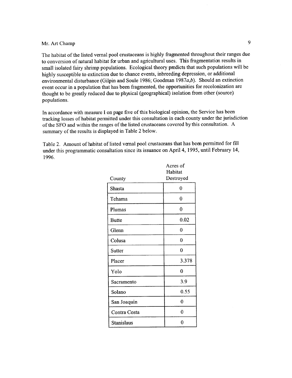The habitat of the listed vernal pool crustaceans is highly fragmented throughout their ranges due to conversion of natural habitat for urban and agricultural uses. This fragmentation results in small isolated fairy shrimp populations. Ecological theory predicts that such populations will be highly susceptible to extinction due to chance events, inbreeding depression, or additional environmental disturbance (Gilpin and Soule 1986; Goodman 1987 $a,b$ ). Should an extinction event occur in a population that has been fragmented, the opportunities for recolonization are thought to be greatly reduced due to physical (geographical) isolation from other (source) populations.

In accordance with measure I on page five of this biological opinion, the Service has been tracking losses of habitat permitted under this consultation in each county under the jurisdiction of the SFO and within the ranges of the listed crustaceans covered by this consultation. A summary of the results is displayed in Table 2 below.

Table 2. Amount of habitat of listed vernal pool crustaceans that has been permitted for fill under this programmatic consultation since its issuance on April 4, 1995, until February 14, 1996.

|                   | Acres of       |
|-------------------|----------------|
|                   | Habitat        |
| County            | Destroyed      |
| Shasta            | 0              |
| Tehama            | 0              |
| Plumas            | $\mathbf 0$    |
| <b>Butte</b>      | 0.02           |
| Glenn             | 0              |
| Colusa            | 0              |
| <b>Sutter</b>     | $\overline{0}$ |
| Placer            | 3.378          |
| Yolo              | 0              |
| Sacramento        | 3.9            |
| Solano            | 0.55           |
| San Joaquin       | $\bf{0}$       |
| Contra Costa      | $\mathbf{0}$   |
| <b>Stanislaus</b> | 0              |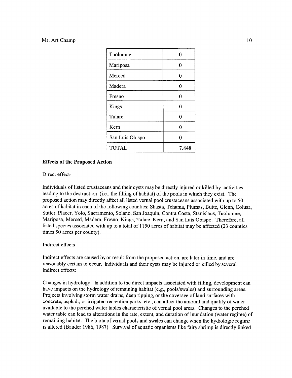| Tuolumne        | Λ     |
|-----------------|-------|
| Mariposa        | 0     |
| Merced          | 0     |
| Madera          | Λ     |
| Fresno          | 0     |
| <b>Kings</b>    | 0     |
| Tulare          | 0     |
| Kern            | 0     |
| San Luis Obispo |       |
| <b>TOTAL</b>    | 7.848 |

## **Effects of the Proposed Action**

#### Direct effects

Individuals of listed crustaceans and their cysts may be directly injured or killed by activities leading to the destruction (i.e., the filling of habitat) of the pools in which they exist. The proposed action may directly affect all listed vernal pool crustaceans associated with up to 50 acres of habitat in each of the following counties: Shasta, Tehama, Plumas, Butte, Glenn, Colusa, Sutter, Placer, Yolo, Sacramento, Solano, San Joaquin, Contra Costa, Stanislaus, Tuolumne, Mariposa, Merced, Madera, Fresno, Kings, Tulare, Kern, and San Luis Obispo. Therefore, all listed species associated with up to a total of 1150 acres of habitat may be affected (23 counties times 50 acres per county).

## Indirect effects

Indirect effects are caused by or result from the proposed action, are later in time, and are reasonably certain to occur. Individuals and their cysts may be injured or killed by several indirect effects:

Changes in hydrology: In addition to the direct impacts associated with filling, development can have impacts on the hydrology of remaining habitat (e.g., pools/swales) and surrounding areas. Projects involving storm water drains, deep ripping, or the coverage of land surfaces with concrete, asphalt, or irrigated recreation parks, etc., can affect the amount and quality of water available to the perched water tables characteristic of vernal pool areas. Changes to the perched water table can lead to alterations in the rate, extent, and duration of inundation (water regime) of remaining habitat. The biota of vernal pools and swales can change when the hydrologic regime is altered (Bauder 1986, 1987). Survival of aquatic organisms like fairy shrimp is directly linked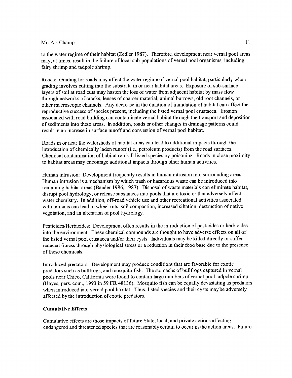to the water regime of their habitat (Zedler 1987). Therefore, development near vernal pool areas may, at times, result in the failure of local sub-populations of vernal pool organisms, including fairy shrimp and tadpole shrimp.

Roads: Grading for roads may affect the water regime of vernal pool habitat, particularly when grading involves cutting into the substrata in or near habitat areas. Exposure of sub-surface layers of soil at road cuts may hasten the loss of water from adjacent habitat by mass flow through networks of cracks, lenses of coarser material, animal burrows, old root channels, or other macroscopic channels. Any decrease in the duration of inundation of habitat can affect the reproductive success of species present, including the listed vernal pool crustacea. Erosion associated with road building can contaminate vernal habitat through the transport and deposition of sediments into these areas. In addition, roads or other changes in drainage patterns could result in an increase in surface runoff and conversion of vernal pool habitat.

Roads in or near the watersheds of habitat areas can lead to additional impacts through the introduction of chemically laden runoff (i.e., petroleum products) from the road surfaces. Chemical contamination of habitat can kill listed species by poisoning. Roads in close proximity to habitat areas may encourage additional impacts through other human activities.

Human intrusion: Development frequently results in human intrusion into surrounding areas. Human intrusion is a mechanism by which trash or hazardous waste can be introduced into remaining habitat areas (Bauder 1986, 1987). Disposal of waste materials can eliminate habitat, disrupt pool hydrology, or release substances into pools that are toxic or that adversely affect water chemistry. In addition, off-road vehicle use and other recreational activities associated with humans can lead to wheel ruts, soil compaction, increased siltation, destruction of native vegetation, and an alteration of pool hydrology.

Pesticides/Herbicides: Development often results in the introduction of pesticides or herbicides into the environment. These chemical compounds are thought to have adverse effects on all of the listed vernal pool Crustacea and/or their cysts. Individuals may be killed directly or suffer reduced fitness through physiological stress or a reduction in their food base due to the presence of these chemicals.

Introduced predators: Development may produce conditions that are favorable for exotic predators such as bullfrogs, and mosquito fish. The stomachs of bullfrogs captured in vernal pools near Chico, California were found to contain large numbers of vernal pool tadpole shrimp (Hayes, pers. com., 1993 in 59 FR 48136). Mosquito fish can be equally devastating as predators when introduced into vernal pool habitat. Thus, listed species and their cysts may be adversely affected by the introduction of exotic predators.

# **Cumulative Effects**

Cumulative effects are those impacts of future State, local, and private actions affecting endangered and threatened species that are reasonably certain to occur in the action areas. Future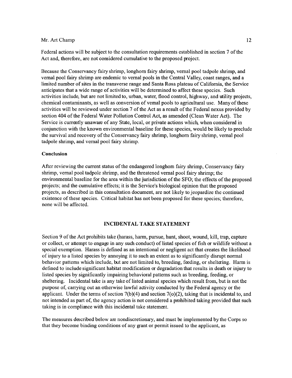Federal actions will be subject to the consultation requirements established in section 7 of the Act and, therefore, are not considered cumulative to the proposed project.

Because the Conservancy fairy shrimp, longhorn fairy shrimp, vernal pool tadpole shrimp, and vernal pool fairy shrimp are endemic to vernal pools in the Central Valley, coast ranges, and a limited number of sites in the transverse range and Santa Rosa plateau of California, the Service anticipates that a wide range of activities will be determined to affect these species. Such activities include, but are not limited to, urban, water, flood control, highway, and utility projects, chemical contaminants, as well as conversion of vernal pools to agricultural use. Many of these activities will be reviewed under section 7 of the Act as a result of the Federal nexus provided by section 404 of the Federal Water Pollution Control Act, as amended (Clean Water Act). The Service is currently unaware of any State, local, or private actions which, when considered in conjunction with the known environmental baseline for these species, would be likely to preclude the survival and recovery of the Conservancy fairy shrimp, longhorn fairy shrimp, vernal pool tadpole shrimp, and vernal pool fairy shrimp.

#### Conclusion

After reviewing the current status of the endangered longhom fairy shrimp, Conservancy fairy shrimp, vernal pool tadpole shrimp, and the threatened vernal pool fairy shrimp; the environmental baseline for the area within the jurisdiction of the SFO; the effects of the proposed projects; and the cumulative effects; it is the Service's biological opinion that the proposed projects, as described in this consultation document, are not likely to jeopardize the continued existence of these species. Critical habitat has not been proposed for these species; therefore, none will be affected.

## **INCIDENTAL TAKE STATEMENT**

Section 9 of the Act prohibits take (harass, harm, pursue, hunt, shoot, wound, kill, trap, capture or collect, or attempt to engage in any such conduct) of listed species of fish or wildlife without a special exemption. Harass is defined as an intentional or negligent act that creates the likelihood of injury to a listed species by annoying it to such an extent as to significantly disrupt normal behavior patterns which include, but are not limited to, breeding, feeding, or sheltering. Harm is defined to include significant habitat modification or degradation that results in death or injury to listed species by significantly impairing behavioral patterns such as breeding, feeding, or sheltering. Incidental take is any take of listed animal species which result from, but is not the purpose of, carrying out an otherwise lawful activity conducted by the Federal agency or the applicant. Under the terms of section  $7(b)(4)$  and section  $7(o)(2)$ , taking that is incidental to, and not intended as part of, the agency action is not considered a prohibited taking provided that such taking is in compliance with this incidental take statement.

The measures described below are nondiscretionary, and must be implemented by the Corps so that they become binding conditions of any grant or permit issued to the applicant, as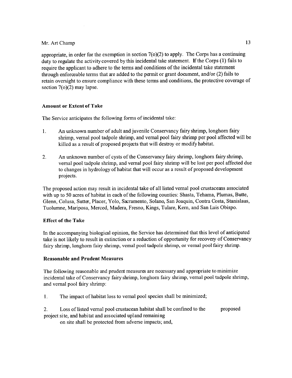appropriate, in order for the exemption in section  $7(0)(2)$  to apply. The Corps has a continuing duty to regulate the activity covered by this incidental take statement. If the Corps (1) fails to require the applicant to adhere to the terms and conditions of the incidental take statement through enforceable terms that are added to the permit or grant document, and/or (2) fails to retain oversight to ensure compliance with these terms and conditions, the protective coverage of section 7(o)(2) may lapse.

# **Amount or Extent of Take**

The Service anticipates the following forms of incidental take:

- **1.** An unknown number of adult and juvenile Conservancy fairy shrimp, longhorn fairy shrimp, vernal pool tadpole shrimp, and vernal pool fairy shrimp per pool affected will be killed as a result of proposed projects that will destroy or modify habitat.
- **2.** An unknown number of cysts of the Conservancy fairy shrimp, longhorn fairy shrimp, vernal pool tadpole shrimp, and vernal pool fairy shrimp will be lost per pool affected due to changes in hydrology of habitat that will occur as a result of proposed development projects.

The proposed action may result in incidental take of all listed vernal pool crustaceans associated with up to 50 acres of habitat in each of the following counties: Shasta, Tehama, Plumas, Butte, Glenn, Colusa, Sutter, Placer, Yolo, Sacramento, Solano, San Joaquin, Contra Costa, Stanislaus, Tuolumne, Mariposa, Merced, Madera, Fresno, Kings, Tulare, Kern, and San Luis Obispo.

# **Effect of the Take**

In the accompanying biological opinion, the Service has determined that this level of anticipated take is not likely to result in extinction or a reduction of opportunity for recovery of Conservancy fairy shrimp, longhorn fairy shrimp, vernal pool tadpole shrimp, or vernal pool fairy shrimp.

# **Reasonable and Prudent Measures**

The following reasonable and prudent measures are necessary and appropriate to minimize incidental take of Conservancy fairy shrimp, longhorn fairy shrimp, vernal pool tadpole shrimp, and vernal pool fairy shrimp:

- **1**. The impact of habitat loss to vernal pool species shall be minimized;
- **2.** Loss of listed vernal pool crustacean habitat shall be confined to the proposed project site, and habitat and associated upland remaining

on site shall be protected from adverse impacts; and,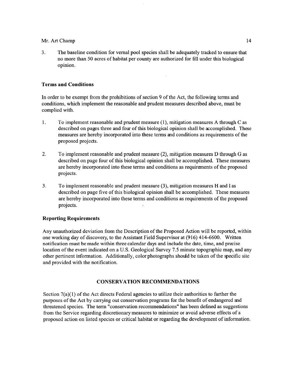**3.** The baseline condition for vernal pool species shall be adequately tracked to ensure that no more than 50 acres of habitat per county are authorized for fill under this biological opinion.

 $\mathcal{A}$ 

# **Terms and Conditions**

In order to be exempt from the prohibitions of section 9 of the Act, the following terms and conditions, which implement the reasonable and prudent measures described above, must be complied with.

- **<sup>1</sup> .** To implement reasonable and prudent measure (1), mitigation measures A through C as described on pages three and four of this biological opinion shall be accomplished. These measures are hereby incorporated into these terms and conditions as requirements of the proposed projects.
- **2.** To implement reasonable and prudent measure (2), mitigation measures D through G as described on page four of this biological opinion shall be accomplished. These measures are hereby incorporated into these terms and conditions as requirements of the proposed projects.
- 3. To implement reasonable and prudent measure (3), mitigation measures H and I as described on page five of this biological opinion shall be accomplished. These measures are hereby incorporated into these terms and conditions as requirements of the proposed projects.

# **Reporting Requirements**

Any unauthorized deviation from the Description of the Proposed Action will be reported, within one working day of discovery, to the Assistant Field Supervisor at (916) 414-6600. Written notification must be made within three calendar days and include the date, time, and precise location of the event indicated on a U.S. Geological Survey 7.5 minute topographic map, and any other pertinent information. Additionally, color photographs should be taken of the specific site and provided with the notification.

# **CONSERVATION RECOMMENDATIONS**

Section 7(a)(1) of the Act directs Federal agencies to utilize their authorities to further the purposes of the Act by carrying out conservation programs for the benefit of endangered and threatened species. The term "conservation recommendations" has been defined as suggestions from the Service regarding discretionary measures to minimize or avoid adverse effects of a proposed action on listed species or critical habitat or regarding the development of information.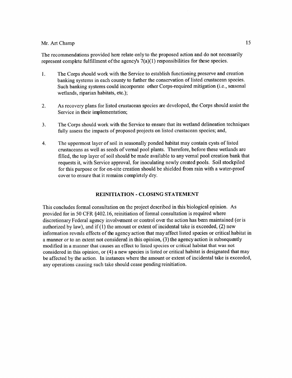The recommendations provided here relate only to the proposed action and do not necessarily represent complete fulfillment of the agency's 7(a)(1) responsibilities for these species.

- **<sup>1</sup> .** The Corps should work with the Service to establish functioning preserve and creation banking systems in each county to further the conservation of listed crustacean species. Such banking systems could incorporate other Corps-required mitigation (i.e., seasonal wetlands, riparian habitats, etc.);
- **2.** As recovery plans for listed crustacean species are developed, the Corps should assist the Service in their implementation;
- 3. The Corps should work with the Service to ensure that its wetland delineation techniques fully assess the impacts of proposed projects on listed crustacean species; and,
- 4. The uppermost layer of soil in seasonally ponded habitat may contain cysts of listed crustaceans as well as seeds of vernal pool plants. Therefore, before these wetlands are filled, the top layer of soil should be made available to any vernal pool creation bank that requests it, with Service approval, for inoculating newly created pools. Soil stockpiled for this purpose or for on-site creation should be shielded from rain with a water-proof cover to ensure that it remains completely dry.

# REINITIATION - CLOSING STATEMENT

This concludes formal consultation on the project described in this biological opinion. As provided for in 50 CFR §402.16, reinitiation of formal consultation is required where discretionary Federal agency involvement or control over the action has been maintained (or is authorized by law), and if  $(1)$  the amount or extent of incidental take is exceeded,  $(2)$  new information reveals effects of the agency action that may affect listed species or critical habitat in a manner or to an extent not considered in this opinion, (3) the agency action is subsequently modified in a manner that causes an effect to listed species or critical habitat that was not considered in this opinion, or (4) a new species is listed or critical habitat is designated that may be affected by the action. In instances where the amount or extent of incidental take is exceeded, any operations causing such take should cease pending reinitiation.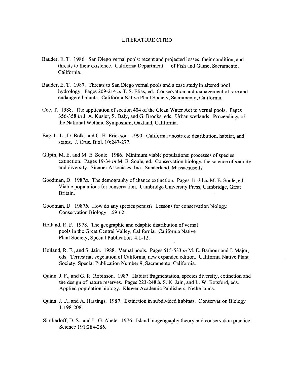#### LITERATURE CITED

- Bauder, E. T. 1986. San Diego vernal pools: recent and projected losses, their condition, and threats to their existence. California Department of Fish and Game, Sacramento, California.
- Bauder, E. T. 1987. Threats to San Diego vernal pools and a case study in altered pool hydrology. Pages 209-214 *in* T. S. Elias, ed. Conservation and management of rare and endangered plants. California Native Plant Society, Sacramento, California.
- Coe, T. 1988. The application of section 404 of the Clean Water Act to vernal pools. Pages 356-358 *in* J. A. Kusler, S. Daly, and G. Brooks, eds. Urban wetlands. Proceedings of the National Wetland Symposium, Oakland, California.
- Eng, L. L., D. Belk, and C. H. Erickson. 1990. California anostraca: distribution, habitat, and status. J. Crus. Biol. 10:247-277.
- Gilpin, M. E. and M. E. Soule. 1986. Minimum viable populations: processes of species extinction. Pages 19-34 *in* M. E. Soule, ed. Conservation biology: the science of scarcity and diversity. Sinauer Associates, Inc., Sunderland, Massachusetts.
- Goodman, D. 1987a. The demography of chance extinction. Pages 11-34 *in* M. E. Soule, ed. Viable populations for conservation. Cambridge University Press, Cambridge, Great Britain.
- Goodman, D. 1987b. How do any species persist? Lessons for conservation biology. Conservation Biology 1:59-62.
- Holland, R. F. 1978. The geographic and edaphic distribution of vernal pools in the Great Central Valley, California. California Native Plant Society, Special Publication 4:1-12.
- Holland, R. F., and S. Jain. 1988. Vernal pools. Pages 515-533 *in* M. E. Barbour and J. Major, eds. Terrestrial vegetation of California, new expanded edition. California Native Plant Society, Special Publication Number 9, Sacramento, California.
- Quinn, J. F., and G. R. Robinson. 1987. Habitat fragmentation, species diversity, extinction and the design of nature reserves. Pages 223-248 *in* S. K. Jain, and L. W. Botsford, eds. Applied population biology. Kluwer Academic Publishers, Netherlands.
- Quinn, J. F., and A. Hastings. 1987. Extinction in subdivided habitats. Conservation Biology 1:198-208.
- Simberloff, D. S., and L. G. Abele. 1976. Island biogeography theory and conservation practice. Science 191:284-286.